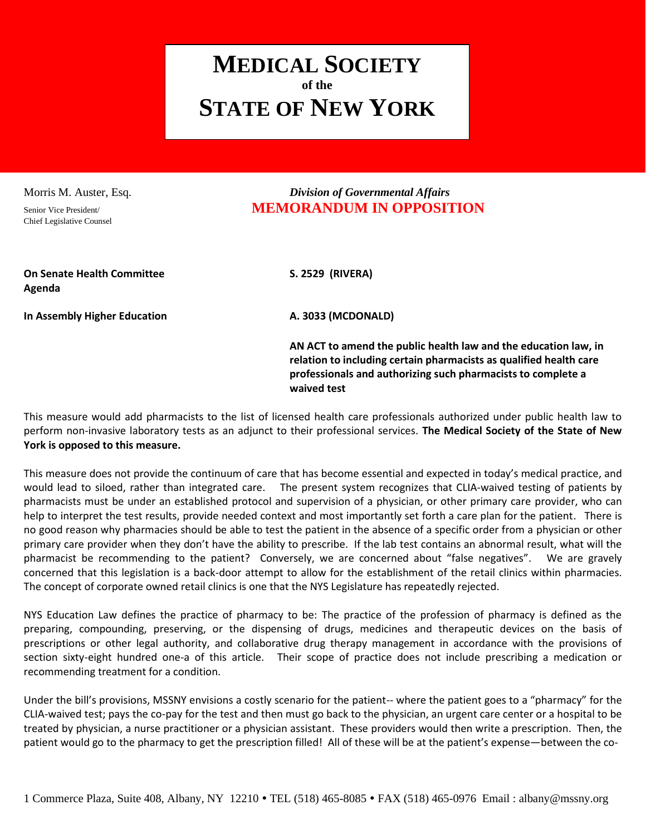## **MEDICAL SOCIETY of the STATE OF NEW YORK**

Chief Legislative Counsel

## Morris M. Auster, Esq. *Division of Governmental Affairs* Senior Vice President/ **MEMORANDUM IN OPPOSITION**

**On Senate Health Committee S. 2529 (RIVERA) Agenda**

**In Assembly Higher Education A. 3033 (MCDONALD)**

**AN ACT to amend the public health law and the education law, in relation to including certain pharmacists as qualified health care professionals and authorizing such pharmacists to complete a waived test**

This measure would add pharmacists to the list of licensed health care professionals authorized under public health law to perform non-invasive laboratory tests as an adjunct to their professional services. **The Medical Society of the State of New York is opposed to this measure.** 

This measure does not provide the continuum of care that has become essential and expected in today's medical practice, and would lead to siloed, rather than integrated care. The present system recognizes that CLIA-waived testing of patients by pharmacists must be under an established protocol and supervision of a physician, or other primary care provider, who can help to interpret the test results, provide needed context and most importantly set forth a care plan for the patient. There is no good reason why pharmacies should be able to test the patient in the absence of a specific order from a physician or other primary care provider when they don't have the ability to prescribe. If the lab test contains an abnormal result, what will the pharmacist be recommending to the patient? Conversely, we are concerned about "false negatives". We are gravely concerned that this legislation is a back-door attempt to allow for the establishment of the retail clinics within pharmacies. The concept of corporate owned retail clinics is one that the NYS Legislature has repeatedly rejected.

NYS Education Law defines the practice of pharmacy to be: The practice of the profession of pharmacy is defined as the preparing, compounding, preserving, or the dispensing of drugs, medicines and therapeutic devices on the basis of prescriptions or other legal authority, and collaborative drug therapy management in accordance with the provisions of section sixty-eight hundred one-a of this article. Their scope of practice does not include prescribing a medication or recommending treatment for a condition.

Under the bill's provisions, MSSNY envisions a costly scenario for the patient-- where the patient goes to a "pharmacy" for the CLIA-waived test; pays the co-pay for the test and then must go back to the physician, an urgent care center or a hospital to be treated by physician, a nurse practitioner or a physician assistant. These providers would then write a prescription. Then, the patient would go to the pharmacy to get the prescription filled! All of these will be at the patient's expense—between the co